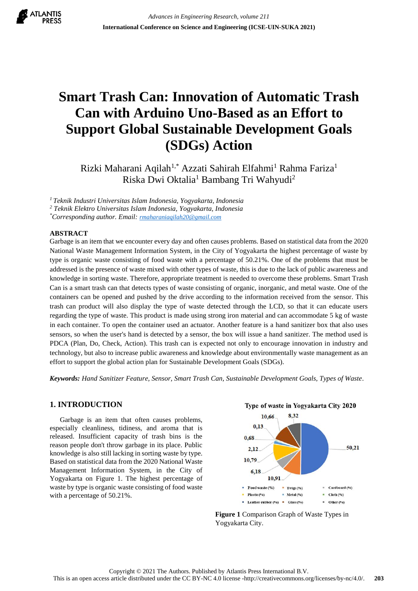

# **Smart Trash Can: Innovation of Automatic Trash Can with Arduino Uno-Based as an Effort to Support Global Sustainable Development Goals (SDGs) Action**

Rizki Maharani Aqilah<sup>1,\*</sup> Azzati Sahirah Elfahmi<sup>1</sup> Rahma Fariza<sup>1</sup> Riska Dwi Oktalia<sup>1</sup> Bambang Tri Wahyudi<sup>2</sup>

*<sup>1</sup>Teknik Industri Universitas Islam Indonesia, Yogyakarta, Indonesia*

*<sup>2</sup> Teknik Elektro Universitas Islam Indonesia, Yogyakarta, Indonesia*

*\*Corresponding author. Email: [rmaharaniaqilah20@gmail.com](mailto:rmaharaniaqilah20@gmail.com)*

### **ABSTRACT**

Garbage is an item that we encounter every day and often causes problems. Based on statistical data from the 2020 National Waste Management Information System, in the City of Yogyakarta the highest percentage of waste by type is organic waste consisting of food waste with a percentage of 50.21%. One of the problems that must be addressed is the presence of waste mixed with other types of waste, this is due to the lack of public awareness and knowledge in sorting waste. Therefore, appropriate treatment is needed to overcome these problems. Smart Trash Can is a smart trash can that detects types of waste consisting of organic, inorganic, and metal waste. One of the containers can be opened and pushed by the drive according to the information received from the sensor. This trash can product will also display the type of waste detected through the LCD, so that it can educate users regarding the type of waste. This product is made using strong iron material and can accommodate 5 kg of waste in each container. To open the container used an actuator. Another feature is a hand sanitizer box that also uses sensors, so when the user's hand is detected by a sensor, the box will issue a hand sanitizer. The method used is PDCA (Plan, Do, Check, Action). This trash can is expected not only to encourage innovation in industry and technology, but also to increase public awareness and knowledge about environmentally waste management as an effort to support the global action plan for Sustainable Development Goals (SDGs).

*Keywords: Hand Sanitizer Feature, Sensor, Smart Trash Can, Sustainable Development Goals, Types of Waste.*

## **1. INTRODUCTION**

Garbage is an item that often causes problems, especially cleanliness, tidiness, and aroma that is released. Insufficient capacity of trash bins is the reason people don't throw garbage in its place. Public knowledge is also still lacking in sorting waste by type. Based on statistical data from the 2020 National Waste Management Information System, in the City of Yogyakarta on Figure 1. The highest percentage of waste by type is organic waste consisting of food waste with a percentage of 50.21%.



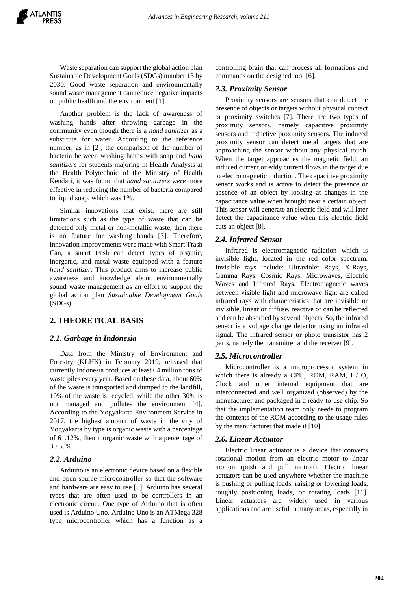Waste separation can support the global action plan Sustainable Development Goals (SDGs) number 13 by 2030. Good waste separation and environmentally sound waste management can reduce negative impacts on public health and the environment [1].

Another problem is the lack of awareness of washing hands after throwing garbage in the community even though there is a *hand sanitizer* as a substitute for water. According to the reference number, as in [2], the comparison of the number of bacteria between washing hands with soap and *hand sanitizers* for students majoring in Health Analysts at the Health Polytechnic of the Ministry of Health Kendari, it was found that *hand sanitizers were* more effective in reducing the number of bacteria compared to liquid soap, which was 1%.

Similar innovations that exist, there are still limitations such as the type of waste that can be detected only metal or non-metallic waste, then there is no feature for washing hands [3]. Therefore, innovation improvements were made with Smart Trash Can, a smart trash can detect types of organic, inorganic, and metal waste equipped with a feature *hand sanitizer.* This product aims to increase public awareness and knowledge about environmentally sound waste management as an effort to support the global action plan *Sustainable Development Goals*  (SDGs).

# **2. THEORETICAL BASIS**

#### *2.1. Garbage in Indonesia*

Data from the Ministry of Environment and Forestry (KLHK) in February 2019, released that currently Indonesia produces at least 64 million tons of waste piles every year. Based on these data, about 60% of the waste is transported and dumped to the landfill, 10% of the waste is recycled, while the other 30% is not managed and pollutes the environment [4]. According to the Yogyakarta Environment Service in 2017, the highest amount of waste in the city of Yogyakarta by type is organic waste with a percentage of 61.12%, then inorganic waste with a percentage of 30.55%.

## *2.2. Arduino*

Arduino is an electronic device based on a flexible and open source microcontroller so that the software and hardware are easy to use [5]. Arduino has several types that are often used to be controllers in an electronic circuit. One type of Arduino that is often used is Arduino Uno. Arduino Uno is an ATMega 328 type microcontroller which has a function as a

controlling brain that can process all formations and commands on the designed tool [6].

## *2.3. Proximity Sensor*

Proximity sensors are sensors that can detect the presence of objects or targets without physical contact or proximity switches [7]. There are two types of proximity sensors, namely capacitive proximity sensors and inductive proximity sensors. The induced proximity sensor can detect metal targets that are approaching the sensor without any physical touch. When the target approaches the magnetic field, an induced current or eddy current flows in the target due to electromagnetic induction. The capacitive proximity sensor works and is active to detect the presence or absence of an object by looking at changes in the capacitance value when brought near a certain object. This sensor will generate an electric field and will later detect the capacitance value when this electric field cuts an object [8].

## *2.4. Infrared Sensor*

Infrared is electromagnetic radiation which is invisible light, located in the red color spectrum. Invisible rays include: Ultraviolet Rays, X-Rays, Gamma Rays, Cosmic Rays, Microwaves, Electric Waves and Infrared Rays. Electromagnetic waves between visible light and microwave light are called infrared rays with characteristics that are invisible or invisible, linear or diffuse, reactive or can be reflected and can be absorbed by several objects. So, the infrared sensor is a voltage change detector using an infrared signal. The infrared sensor or photo transistor has 2 parts, namely the transmitter and the receiver [9].

## *2.5. Microcontroller*

Microcontroller is a microprocessor system in which there is already a CPU, ROM, RAM, I / O, Clock and other internal equipment that are interconnected and well organized (observed) by the manufacturer and packaged in a ready-to-use chip. So that the implementation team only needs to program the contents of the ROM according to the usage rules by the manufacturer that made it [10].

#### *2.6. Linear Actuator*

Electric linear actuator is a device that converts rotational motion from an electric motor to linear motion (push and pull motion). Electric linear actuators can be used anywhere whether the machine is pushing or pulling loads, raising or lowering loads, roughly positioning loads, or rotating loads [11]. Linear actuators are widely used in various applications and are useful in many areas, especially in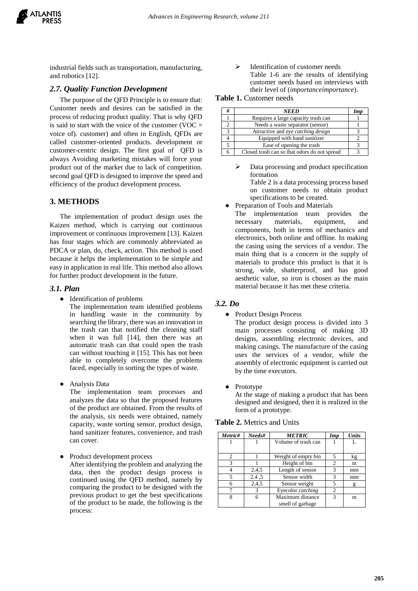

industrial fields such as transportation, manufacturing, and robotics [12].

## *2.7. Quality Function Development*

The purpose of the QFD Principle is to ensure that: Customer needs and desires can be satisfied in the process of reducing product quality. That is why QFD is said to start with the voice of the customer (VOC  $=$ voice of). customer) and often in English, QFDs are called customer-oriented products. development or customer-centric design. The first goal of QFD is always Avoiding marketing mistakes will force your product out of the market due to lack of competition. second goal QFD is designed to improve the speed and efficiency of the product development process.

## **3. METHODS**

The implementation of product design uses the Kaizen method, which is carrying out continuous improvement or continuous improvement [13]. Kaizen has four stages which are commonly abbreviated as PDCA or plan, do, check, action. This method is used because it helps the implementation to be simple and easy in application in real life. This method also allows for further product development in the future.

#### *3.1. Plan*

● Identification of problems

The implementation team identified problems in handling waste in the community by searching the library, there was an innovation in the trash can that notified the cleaning staff when it was full [14], then there was an automatic trash can that could open the trash can without touching it [15]. This has not been able to completely overcome the problems faced, especially in sorting the types of waste.

● Analysis Data

The implementation team processes and analyzes the data so that the proposed features of the product are obtained. From the results of the analysis, six needs were obtained, namely capacity, waste sorting sensor, product design, hand sanitizer features, convenience, and trash can cover.

Product development process

After identifying the problem and analyzing the data, then the product design process is continued using the QFD method, namely by comparing the product to be designed with the previous product to get the best specifications of the product to be made, the following is the process:

 Identification of customer needs Table 1-6 are the results of identifying customer needs based on interviews with their level of (*importanceimportance*).

**Table 1.** Customer needs

| # | <b>NEED</b>                                  | Imv |
|---|----------------------------------------------|-----|
|   | Requires a large capacity trash can          |     |
|   | Needs a waste separator (sensor)             |     |
| 3 | Attractive and eye catching design           |     |
|   | Equipped with hand sanitizer                 |     |
|   | Ease of opening the trash                    |     |
|   | Closed trash can so that odors do not spread |     |

- Data processing and product specification formation Table 2 is a data processing process based on customer needs to obtain product specifications to be created.
- Preparation of Tools and Materials
- The implementation team provides the necessary materials, equipment, and components, both in terms of mechanics and electronics, both online and offline. In making the casing using the services of a vendor. The main thing that is a concern in the supply of materials to produce this product is that it is strong, wide, shatterproof, and has good aesthetic value, so iron is chosen as the main material because it has met these criteria.

## *3.2. Do*

● Product Design Process

The product design process is divided into 3 main processes consisting of making 3D designs, assembling electronic devices, and making casings. The manufacture of the casing uses the services of a vendor, while the assembly of electronic equipment is carried out by the time executors.

**Prototype** 

At the stage of making a product that has been designed and designed, then it is realized in the form of a prototype.

| <b>Table 2. Metrics and Units</b> |  |  |
|-----------------------------------|--|--|
|                                   |  |  |

| Metric# | Needs# | <b>METRIC</b>                        | <b>Imp</b> | <b>Units</b> |
|---------|--------|--------------------------------------|------------|--------------|
|         |        | Volume of trash can                  |            |              |
| 2       |        | Weight of empty bin                  |            | kg           |
| 3       |        | Height of bin                        | 2          | m            |
|         | 2.4.5  | Length of sensor                     | 3          | mm           |
|         | 2.4 .5 | Sensor width                         |            | mm           |
| 6       | 2,4,5  | Sensor weight                        |            |              |
|         |        | Eyecolor catching                    |            |              |
| 8       | 6      | Maximum distance<br>smell of garbage | 3          | m            |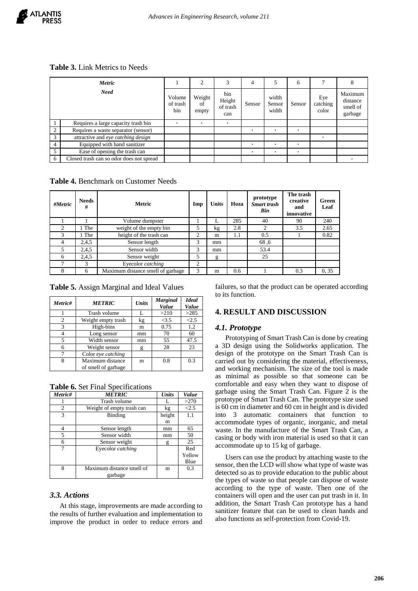# **Table 3.** Link Metrics to Needs

| Metric         |                                          |                           | $\overline{c}$        | 3                                | 4      |                          | 6      | 7                        | 8                                          |
|----------------|------------------------------------------|---------------------------|-----------------------|----------------------------------|--------|--------------------------|--------|--------------------------|--------------------------------------------|
| <b>Need</b>    |                                          | Volume<br>of trash<br>bin | Weight<br>of<br>empty | bin<br>Height<br>of trash<br>can | Sensor | width<br>Sensor<br>width | Sensor | Eye<br>catching<br>color | Maximum<br>distance<br>smell of<br>garbage |
|                | Requires a large capacity trash bin      |                           | $\bullet$             | ٠                                |        |                          |        |                          |                                            |
| 2              | Requires a waste separator (sensor)      |                           |                       |                                  |        |                          |        |                          |                                            |
| 3              | attractive and eye catching design       |                           |                       |                                  |        |                          |        | $\bullet$                |                                            |
| $\overline{4}$ | Equipped with hand sanitizer             |                           |                       |                                  |        |                          | ٠      |                          |                                            |
| 5              | Ease of opening the trash can            |                           |                       |                                  | ٠      |                          | ٠      |                          |                                            |
| 6              | Closed trash can so odor does not spread |                           |                       |                                  |        |                          |        |                          |                                            |

**Table 4.** Benchmark on Customer Needs

| #Metric        | <b>Needs</b><br># | <b>Metric</b>                     | Imp | <b>Units</b> | Hoza | prototype<br><b>Smart trash</b><br>Bin | The trash<br>creative<br>and<br>innovative | Green<br>Leaf |
|----------------|-------------------|-----------------------------------|-----|--------------|------|----------------------------------------|--------------------------------------------|---------------|
|                |                   | Volume dumpster                   |     |              | 285  | 40                                     | 90                                         | 240           |
| $\mathfrak{D}$ | The               | weight of the empty bin           | 5   | kg           | 2.8  | ◠                                      | 3.5                                        | 2.65          |
| 3              | The               | height of the trash can           | 2   | m            | 1.1  | 0.5                                    |                                            | 0.82          |
| 4              | 2.4.5             | Sensor length                     | 3   | mm           |      | 68,6                                   |                                            |               |
| 5              | 2,4,5             | Sensor width                      | 3   | mm           |      | 53.4                                   |                                            |               |
| 6              | 2,4,5             | Sensor weight                     | 5   | g            |      | 25                                     |                                            |               |
|                | 3                 | Eyecolor catching                 | 2   |              |      |                                        |                                            |               |
|                | 6                 | Maximum distance smell of garbage | 3   | m            | 0.6  |                                        | 0.3                                        | 0, 35         |

**Table 5.** Assign Marginal and Ideal Values

| Metric#        | <b>METRIC</b>                           | <b>Units</b> | <b>Marginal</b><br>Value | <b>Ideal</b><br>Value |
|----------------|-----------------------------------------|--------------|--------------------------|-----------------------|
|                | Trash volume                            |              | >210                     | >285                  |
| $\overline{c}$ | Weight empty trash                      | kg           | <3.5                     | < 2.5                 |
| 3              | High-bins                               | m            | 0.75                     | 1.2                   |
| 4              | Long sensor                             | mm           | 70                       | 60                    |
| 5              | Width sensor                            | mm           | 55                       | 47.5                  |
| 6              | Weight sensor                           |              | 28                       | 23                    |
| 7              | Color eye catching                      |              |                          |                       |
| 8              | Maximum distance<br>of smell of garbage | m            | 0.8                      | 0.3                   |

**Table 6.** Set Final Specifications

| Metric#        | <b>METRIC</b>             | <b>Units</b> | Value  |
|----------------|---------------------------|--------------|--------|
|                | Trash volume              |              | >270   |
| $\overline{c}$ | Weight of empty trash can | kg           | < 2.5  |
| 3              | Binding                   | height       | 1.1    |
|                |                           | m            |        |
| 4              | Sensor length             | mm           | 65     |
| 5              | Sensor width              | mm           | 50     |
| 6              | Sensor weight             | g            | 25     |
| 7              | Eyecolor catching         |              | Red    |
|                |                           |              | Yellow |
|                |                           |              | Blue   |
| 8              | Maximum distance smell of | m            | 0.3    |
|                | garbage                   |              |        |

## *3.3. Actions*

At this stage, improvements are made according to the results of further evaluation and implementation to improve the product in order to reduce errors and

failures, so that the product can be operated according to its function.

# **4. RESULT AND DISCUSSION**

## *4.1. Prototype*

Prototyping of Smart Trash Can is done by creating a 3D design using the Solidworks application. The design of the prototype on the Smart Trash Can is carried out by considering the material, effectiveness, and working mechanism. The size of the tool is made as minimal as possible so that someone can be comfortable and easy when they want to dispose of garbage using the Smart Trash Can. Figure 2 is the prototype of Smart Trash Can. The prototype size used is 60 cm in diameter and 60 cm in height and is divided into 3 automatic containers that function to accommodate types of organic, inorganic, and metal waste. In the manufacture of the Smart Trash Can, a casing or body with iron material is used so that it can accommodate up to 15 kg of garbage.

Users can use the product by attaching waste to the sensor, then the LCD will show what type of waste was detected so as to provide education to the public about the types of waste so that people can dispose of waste according to the type of waste. Then one of the containers will open and the user can put trash in it. In addition, the Smart Trash Can prototype has a hand sanitizer feature that can be used to clean hands and also functions as self-protection from Covid-19.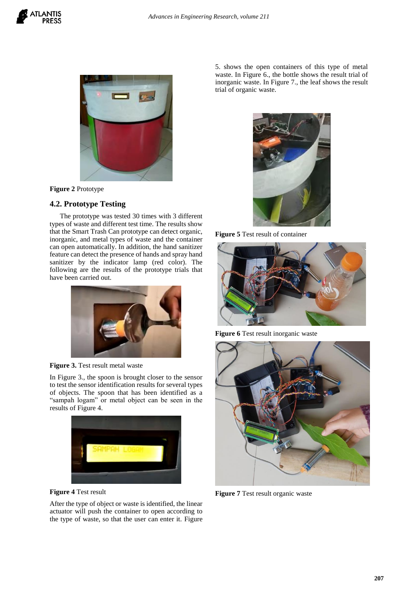



**Figure 2** Prototype

# **4.2. Prototype Testing**

The prototype was tested 30 times with 3 different types of waste and different test time. The results show that the Smart Trash Can prototype can detect organic, inorganic, and metal types of waste and the container can open automatically. In addition, the hand sanitizer feature can detect the presence of hands and spray hand sanitizer by the indicator lamp (red color). The following are the results of the prototype trials that have been carried out.



## **Figure 3.** Test result metal waste

In Figure 3., the spoon is brought closer to the sensor to test the sensor identification results for several types of objects. The spoon that has been identified as a "sampah logam" or metal object can be seen in the results of Figure 4.



**Figure 4** Test result

After the type of object or waste is identified, the linear actuator will push the container to open according to the type of waste, so that the user can enter it. Figure 5. shows the open containers of this type of metal waste. In Figure 6., the bottle shows the result trial of inorganic waste. In Figure 7., the leaf shows the result trial of organic waste.



**Figure 5** Test result of container



**Figure 6** Test result inorganic waste



**Figure 7** Test result organic waste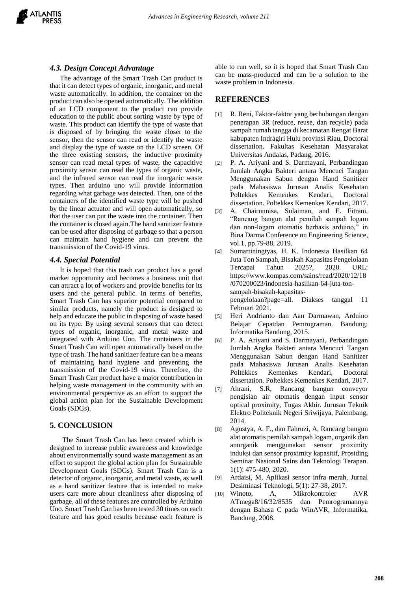## *4.3. Design Concept Advantage*

The advantage of the Smart Trash Can product is that it can detect types of organic, inorganic, and metal waste automatically. In addition, the container on the product can also be opened automatically. The addition of an LCD component to the product can provide education to the public about sorting waste by type of waste. This product can identify the type of waste that is disposed of by bringing the waste closer to the sensor, then the sensor can read or identify the waste and display the type of waste on the LCD screen. Of the three existing sensors, the inductive proximity sensor can read metal types of waste, the capacitive proximity sensor can read the types of organic waste, and the infrared sensor can read the inorganic waste types. Then arduino uno will provide information regarding what garbage was detected. Then, one of the containers of the identified waste type will be pushed by the linear actuator and will open automatically, so that the user can put the waste into the container. Then the container is closed again.The hand sanitizer feature can be used after disposing of garbage so that a person can maintain hand hygiene and can prevent the transmission of the Covid-19 virus.

#### *4.4. Special Potential*

It is hoped that this trash can product has a good market opportunity and becomes a business unit that can attract a lot of workers and provide benefits for its users and the general public. In terms of benefits, Smart Trash Can has superior potential compared to similar products, namely the product is designed to help and educate the public in disposing of waste based on its type. By using several sensors that can detect types of organic, inorganic, and metal waste and integrated with Arduino Uno. The containers in the Smart Trash Can will open automatically based on the type of trash. The hand sanitizer feature can be a means of maintaining hand hygiene and preventing the transmission of the Covid-19 virus. Therefore, the Smart Trash Can product have a major contribution in helping waste management in the community with an environmental perspective as an effort to support the global action plan for the Sustainable Development Goals (SDGs).

## **5. CONCLUSION**

The Smart Trash Can has been created which is designed to increase public awareness and knowledge about environmentally sound waste management as an effort to support the global action plan for Sustainable Development Goals (SDGs). Smart Trash Can is a detector of organic, inorganic, and metal waste, as well as a hand sanitizer feature that is intended to make users care more about cleanliness after disposing of garbage, all of these features are controlled by Arduino Uno. Smart Trash Can has been tested 30 times on each feature and has good results because each feature is able to run well, so it is hoped that Smart Trash Can can be mass-produced and can be a solution to the waste problem in Indonesia.

### **REFERENCES**

- [1] R. Reni, Faktor-faktor yang berhubungan dengan penerapan 3R (reduce, reuse, dan recycle) pada sampah rumah tangga di kecamatan Rengat Barat kabupaten Indragiri Hulu provinsi Riau, Doctoral dissertation. Fakultas Kesehatan Masyarakat Universitas Andalas, Padang, 2016.
- [2] P. A. Ariyani and S. Darmayani, Perbandingan Jumlah Angka Bakteri antara Mencuci Tangan Menggunakan Sabun dengan Hand Sanitizer pada Mahasiswa Jurusan Analis Kesehatan Poltekkes Kemenkes Kendari, Doctoral dissertation. Poltekkes Kemenkes Kendari, 2017.
- [3] A. Chairunnisa, Sulaiman, and E. Fitrani, "Rancang bangun alat pemilah sampah logam dan non-logam otomatis berbasis arduino," in Bina Darma Conference on Engineering Science*,*  vol.1, pp.79-88, 2019.
- [4] Sumartiningtyas, H. K. Indonesia Hasilkan 64 Juta Ton Sampah, Bisakah Kapasitas Pengelolaan Tercapai Tahun 2025?, [2020. URL:](https://www.kompas.com/sains/read/2020/12/18/070200023/indonesia-hasilkan-64-juta-ton-sampah-bisakah-kapasitas-pengelolaan?page=all)  [https://www.kompas.com/sains/read/2020/12/18](https://www.kompas.com/sains/read/2020/12/18/070200023/indonesia-hasilkan-64-juta-ton-sampah-bisakah-kapasitas-pengelolaan?page=all) [/070200023/indonesia-hasilkan-64-juta-ton](https://www.kompas.com/sains/read/2020/12/18/070200023/indonesia-hasilkan-64-juta-ton-sampah-bisakah-kapasitas-pengelolaan?page=all)[sampah-bisakah-kapasitas](https://www.kompas.com/sains/read/2020/12/18/070200023/indonesia-hasilkan-64-juta-ton-sampah-bisakah-kapasitas-pengelolaan?page=all)[pengelolaan?page=all.](https://www.kompas.com/sains/read/2020/12/18/070200023/indonesia-hasilkan-64-juta-ton-sampah-bisakah-kapasitas-pengelolaan?page=all) Diakses tanggal 11 Februari 2021.
- [5] Heri Andrianto dan Aan Darmawan, Arduino Belajar Cepatdan Pemrograman. Bandung: Informatika Bandung, 2015.
- [6] P. A. Ariyani and S. Darmayani, Perbandingan Jumlah Angka Bakteri antara Mencuci Tangan Menggunakan Sabun dengan Hand Sanitizer pada Mahasiswa Jurusan Analis Kesehatan Poltekkes Kemenkes Kendari, Doctoral dissertation. Poltekkes Kemenkes Kendari, 2017.
- [7] Ahrani, S.R, Rancang bangun conveyor pengisian air otomatis dengan input sensor optical proximity, Tugas Akhir. Jurusan Teknik Elektro Politeknik Negeri Sriwijaya, Palembang, 2014.
- [8] Agustya, A. F., dan Fahruzi, A, Rancang bangun alat otomatis pemilah sampah logam, organik dan anorganik menggunakan sensor proximity induksi dan sensor proximity kapasitif, Prosiding Seminar Nasional Sains dan Teknologi Terapan. 1(1): 475-480, 2020.
- [9] Ardaisi, M, Aplikasi sensor infra merah, Jurnal Desiminasi Teknologi, 5(1): 27-38, 2017.
- [10] Winoto, A, Mikrokontroler AVR ATmega8/16/32/8535 dan Pemrogramannya dengan Bahasa C pada WinAVR, Informatika, Bandung, 2008.